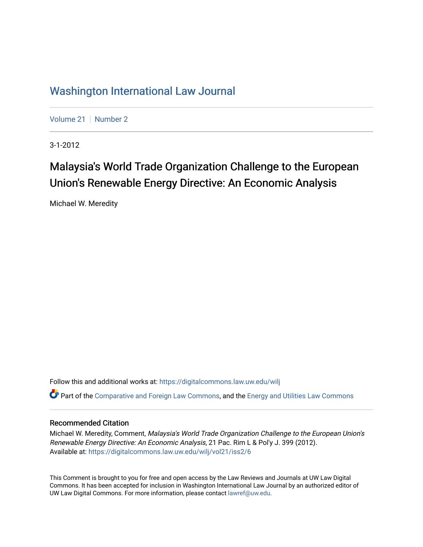## [Washington International Law Journal](https://digitalcommons.law.uw.edu/wilj)

[Volume 21](https://digitalcommons.law.uw.edu/wilj/vol21) | [Number 2](https://digitalcommons.law.uw.edu/wilj/vol21/iss2)

3-1-2012

# Malaysia's World Trade Organization Challenge to the European Union's Renewable Energy Directive: An Economic Analysis

Michael W. Meredity

Follow this and additional works at: [https://digitalcommons.law.uw.edu/wilj](https://digitalcommons.law.uw.edu/wilj?utm_source=digitalcommons.law.uw.edu%2Fwilj%2Fvol21%2Fiss2%2F6&utm_medium=PDF&utm_campaign=PDFCoverPages) 

Part of the [Comparative and Foreign Law Commons,](http://network.bepress.com/hgg/discipline/836?utm_source=digitalcommons.law.uw.edu%2Fwilj%2Fvol21%2Fiss2%2F6&utm_medium=PDF&utm_campaign=PDFCoverPages) and the [Energy and Utilities Law Commons](http://network.bepress.com/hgg/discipline/891?utm_source=digitalcommons.law.uw.edu%2Fwilj%2Fvol21%2Fiss2%2F6&utm_medium=PDF&utm_campaign=PDFCoverPages)

## Recommended Citation

Michael W. Meredity, Comment, Malaysia's World Trade Organization Challenge to the European Union's Renewable Energy Directive: An Economic Analysis, 21 Pac. Rim L & Pol'y J. 399 (2012). Available at: [https://digitalcommons.law.uw.edu/wilj/vol21/iss2/6](https://digitalcommons.law.uw.edu/wilj/vol21/iss2/6?utm_source=digitalcommons.law.uw.edu%2Fwilj%2Fvol21%2Fiss2%2F6&utm_medium=PDF&utm_campaign=PDFCoverPages) 

This Comment is brought to you for free and open access by the Law Reviews and Journals at UW Law Digital Commons. It has been accepted for inclusion in Washington International Law Journal by an authorized editor of UW Law Digital Commons. For more information, please contact [lawref@uw.edu](mailto:lawref@uw.edu).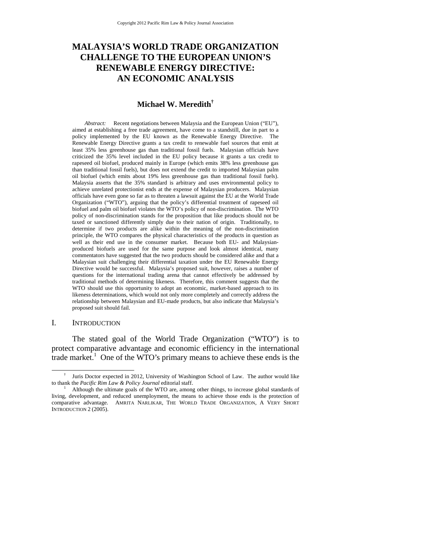## **MALAYSIA'S WORLD TRADE ORGANIZATION CHALLENGE TO THE EUROPEAN UNION'S RENEWABLE ENERGY DIRECTIVE: AN ECONOMIC ANALYSIS**

#### **Michael W. Meredith†**

*Abstract:* Recent negotiations between Malaysia and the European Union ("EU"), aimed at establishing a free trade agreement, have come to a standstill, due in part to a policy implemented by the EU known as the Renewable Energy Directive. The Renewable Energy Directive grants a tax credit to renewable fuel sources that emit at least 35% less greenhouse gas than traditional fossil fuels. Malaysian officials have criticized the 35% level included in the EU policy because it grants a tax credit to rapeseed oil biofuel, produced mainly in Europe (which emits 38% less greenhouse gas than traditional fossil fuels), but does not extend the credit to imported Malaysian palm oil biofuel (which emits about 19% less greenhouse gas than traditional fossil fuels). Malaysia asserts that the 35% standard is arbitrary and uses environmental policy to achieve unrelated protectionist ends at the expense of Malaysian producers. Malaysian officials have even gone so far as to threaten a lawsuit against the EU at the World Trade Organization ("WTO"), arguing that the policy's differential treatment of rapeseed oil biofuel and palm oil biofuel violates the WTO's policy of non-discrimination. The WTO policy of non-discrimination stands for the proposition that like products should not be taxed or sanctioned differently simply due to their nation of origin. Traditionally, to determine if two products are alike within the meaning of the non-discrimination principle, the WTO compares the physical characteristics of the products in question as well as their end use in the consumer market. Because both EU- and Malaysianproduced biofuels are used for the same purpose and look almost identical, many commentators have suggested that the two products should be considered alike and that a Malaysian suit challenging their differential taxation under the EU Renewable Energy Directive would be successful. Malaysia's proposed suit, however, raises a number of questions for the international trading arena that cannot effectively be addressed by traditional methods of determining likeness. Therefore, this comment suggests that the WTO should use this opportunity to adopt an economic, market-based approach to its likeness determinations, which would not only more completely and correctly address the relationship between Malaysian and EU-made products, but also indicate that Malaysia's proposed suit should fail.

#### I. INTRODUCTION

The stated goal of the World Trade Organization ("WTO") is to protect comparative advantage and economic efficiency in the international trade market.<sup>1</sup> One of the WTO's primary means to achieve these ends is the

 $\overline{\phantom{a}}$  Juris Doctor expected in 2012, University of Washington School of Law. The author would like to thank the *Pacific Rim Law & Policy Journal* editorial staff. 1

Although the ultimate goals of the WTO are, among other things, to increase global standards of living, development, and reduced unemployment, the means to achieve those ends is the protection of comparative advantage. AMRITA NARLIKAR, THE WORLD TRADE ORGANIZATION, A VERY SHORT INTRODUCTION 2 (2005).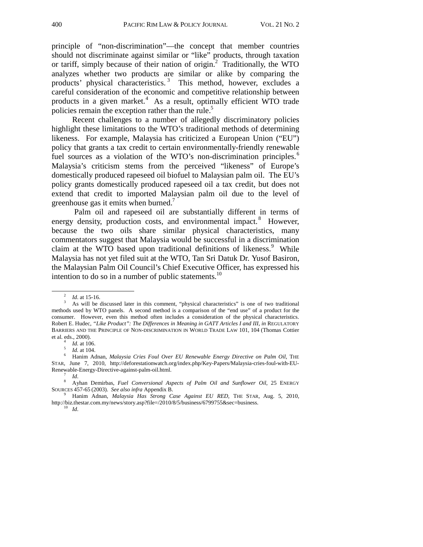principle of "non-discrimination"—the concept that member countries should not discriminate against similar or "like" products, through taxation or tariff, simply because of their nation of origin.<sup>2</sup> Traditionally, the WTO analyzes whether two products are similar or alike by comparing the products' physical characteristics.<sup>3</sup> This method, however, excludes a careful consideration of the economic and competitive relationship between products in a given market.<sup>4</sup> As a result, optimally efficient WTO trade policies remain the exception rather than the rule.<sup>5</sup>

Recent challenges to a number of allegedly discriminatory policies highlight these limitations to the WTO's traditional methods of determining likeness. For example, Malaysia has criticized a European Union ("EU") policy that grants a tax credit to certain environmentally-friendly renewable fuel sources as a violation of the WTO's non-discrimination principles.<sup>6</sup> Malaysia's criticism stems from the perceived "likeness" of Europe's domestically produced rapeseed oil biofuel to Malaysian palm oil. The EU's policy grants domestically produced rapeseed oil a tax credit, but does not extend that credit to imported Malaysian palm oil due to the level of greenhouse gas it emits when burned.<sup>7</sup>

 Palm oil and rapeseed oil are substantially different in terms of energy density, production costs, and environmental impact.<sup>8</sup> However, because the two oils share similar physical characteristics, many commentators suggest that Malaysia would be successful in a discrimination claim at the WTO based upon traditional definitions of likeness.<sup>9</sup> While Malaysia has not yet filed suit at the WTO, Tan Sri Datuk Dr. Yusof Basiron, the Malaysian Palm Oil Council's Chief Executive Officer, has expressed his intention to do so in a number of public statements.<sup>10</sup>

 <sup>2</sup>  $\frac{2}{3}$  *Id.* at 15-16.

As will be discussed later in this comment, "physical characteristics" is one of two traditional methods used by WTO panels. A second method is a comparison of the "end use" of a product for the consumer. However, even this method often includes a consideration of the physical characteristics. Robert E. Hudec, *"Like Product": The Differences in Meaning in GATT Articles I and III*, *in* REGULATORY BARRIERS AND THE PRINCIPLE OF NON-DISCRIMINATION IN WORLD TRADE LAW 101, 104 (Thomas Cottier et al. eds., 2000).

*Id.* at 106.<br>*Id.* at 104.

<sup>&</sup>lt;sup>5</sup> Id. at 104.<br><sup>6</sup> Hanim Adnan, *Malaysia Cries Foul Over EU Renewable Energy Directive on Palm Oil, THE* STAR, June 7, 2010, http://deforestationwatch.org/index.php/Key-Papers/Malaysia-cries-foul-with-EU-Renewable-Energy-Directive-against-palm-oil.html.<br><sup>7</sup> *Id.* 8 Ayhan Demirbas, *Fuel Conversional Aspects of Palm Oil and Sunflower Oil*, 25 ENERGY

SOURCES 457-65 (2003). See also infra Appendix B.

Hanim Adnan, *Malaysia Has Strong Case Against EU RED*, THE STAR, Aug. 5, 2010, http://biz.thestar.com.my/news/story.asp?file=/2010/8/5/business/6799755&sec=business. 10 *Id*.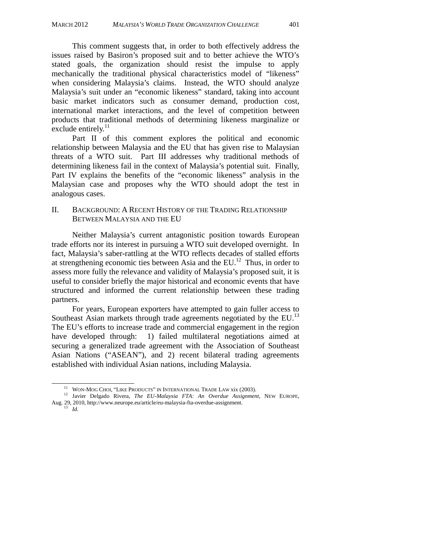This comment suggests that, in order to both effectively address the issues raised by Basiron's proposed suit and to better achieve the WTO's stated goals, the organization should resist the impulse to apply mechanically the traditional physical characteristics model of "likeness" when considering Malaysia's claims. Instead, the WTO should analyze Malaysia's suit under an "economic likeness" standard, taking into account basic market indicators such as consumer demand, production cost, international market interactions, and the level of competition between products that traditional methods of determining likeness marginalize or exclude entirely. $^{11}$ 

Part II of this comment explores the political and economic relationship between Malaysia and the EU that has given rise to Malaysian threats of a WTO suit. Part III addresses why traditional methods of determining likeness fail in the context of Malaysia's potential suit. Finally, Part IV explains the benefits of the "economic likeness" analysis in the Malaysian case and proposes why the WTO should adopt the test in analogous cases.

## II. BACKGROUND: A RECENT HISTORY OF THE TRADING RELATIONSHIP BETWEEN MALAYSIA AND THE EU

Neither Malaysia's current antagonistic position towards European trade efforts nor its interest in pursuing a WTO suit developed overnight. In fact, Malaysia's saber-rattling at the WTO reflects decades of stalled efforts at strengthening economic ties between Asia and the  $EU<sup>12</sup>$ . Thus, in order to assess more fully the relevance and validity of Malaysia's proposed suit, it is useful to consider briefly the major historical and economic events that have structured and informed the current relationship between these trading partners.

For years, European exporters have attempted to gain fuller access to Southeast Asian markets through trade agreements negotiated by the EU. $^{13}$ The EU's efforts to increase trade and commercial engagement in the region have developed through: 1) failed multilateral negotiations aimed at securing a generalized trade agreement with the Association of Southeast Asian Nations ("ASEAN"), and 2) recent bilateral trading agreements established with individual Asian nations, including Malaysia.

- <sup>11</sup> WON-MOG CHOI, "LIKE PRODUCTS" IN INTERNATIONAL TRADE LAW xix (2003).<br><sup>12</sup> Javier Delgado Rivera, *The EU-Malaysia FTA: An Overdue Assignment*, NEW EUROPE, Aug. 29, 2010, http://www.neurope.eu/article/eu-malaysia-fta-overdue-assignment. 13 *Id.*
	-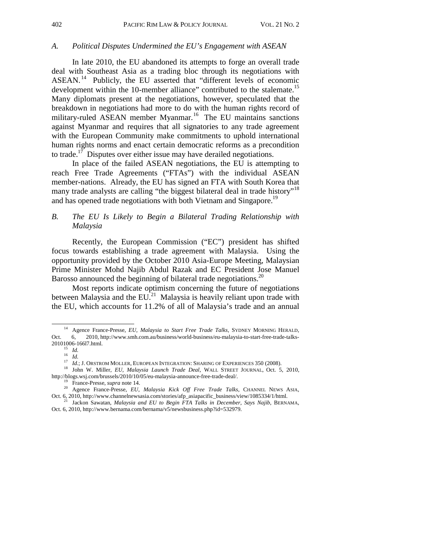#### *A. Political Disputes Undermined the EU's Engagement with ASEAN*

 In late 2010, the EU abandoned its attempts to forge an overall trade deal with Southeast Asia as a trading bloc through its negotiations with ASEAN. 14 Publicly, the EU asserted that "different levels of economic development within the 10-member alliance" contributed to the stalemate.<sup>15</sup> Many diplomats present at the negotiations, however, speculated that the breakdown in negotiations had more to do with the human rights record of military-ruled ASEAN member Myanmar.<sup>16</sup> The EU maintains sanctions against Myanmar and requires that all signatories to any trade agreement with the European Community make commitments to uphold international human rights norms and enact certain democratic reforms as a precondition to trade.17 Disputes over either issue may have derailed negotiations.

 In place of the failed ASEAN negotiations, the EU is attempting to reach Free Trade Agreements ("FTAs") with the individual ASEAN member-nations. Already, the EU has signed an FTA with South Korea that many trade analysts are calling "the biggest bilateral deal in trade history"<sup>18</sup> and has opened trade negotiations with both Vietnam and Singapore.<sup>19</sup>

## *B. The EU Is Likely to Begin a Bilateral Trading Relationship with Malaysia*

Recently, the European Commission ("EC") president has shifted focus towards establishing a trade agreement with Malaysia. Using the opportunity provided by the October 2010 Asia-Europe Meeting, Malaysian Prime Minister Mohd Najib Abdul Razak and EC President Jose Manuel Barosso announced the beginning of bilateral trade negotiations.<sup>20</sup>

 Most reports indicate optimism concerning the future of negotiations between Malaysia and the EU.<sup>21</sup> Malaysia is heavily reliant upon trade with the EU, which accounts for 11.2% of all of Malaysia's trade and an annual

<sup>&</sup>lt;sup>14</sup> Agence France-Presse, *EU, Malaysia to Start Free Trade Talks*, SYDNEY MORNING HERALD, Oct. 6, 2010, http://www.smh.com.au/business/world-business/eu-malaysia-to-start-free-trade-talks-20101006-166l7.html. 15 *Id.* 

 $\frac{15}{16}$  *Id.* <br>*Id.* 

<sup>&</sup>lt;sup>17</sup> *Id.*; J. ORSTROM MOLLER, EUROPEAN INTEGRATION: SHARING OF EXPERIENCES 350 (2008).<br><sup>18</sup> John W. Miller, *EU, Malaysia Launch Trade Deal*, WALL STREET JOURNAL, Oct. 5, 2010,<br>http://blogs.wsj.com/brussels/2010/10/05/eu-

<sup>&</sup>lt;sup>19</sup> France-Presse, *supra* note 14.<br><sup>20</sup> Agence France-Presse, *EU, Malaysia Kick Off Free Trade Talks*, CHANNEL NEWS ASIA, Oct. 6, 2010, http://www.channelnewsasia.com/stories/afp\_asiapacific\_business/view/1085334/1/html

<sup>&</sup>lt;sup>1</sup> Jackon Sawatan, *Malaysia and EU to Begin FTA Talks in December, Says Najib, BERNAMA,* Oct. 6, 2010, http://www.bernama.com/bernama/v5/newsbusiness.php?id=532979.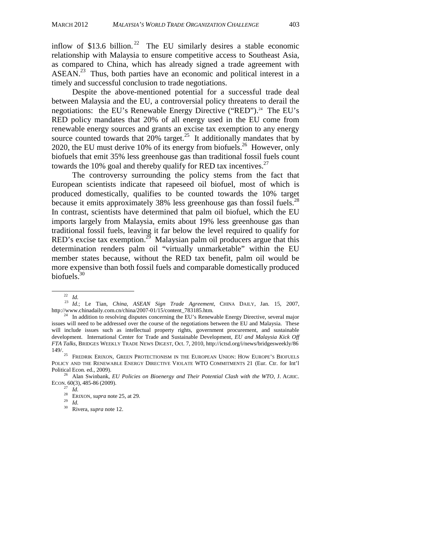inflow of \$13.6 billion.<sup>22</sup> The EU similarly desires a stable economic relationship with Malaysia to ensure competitive access to Southeast Asia, as compared to China, which has already signed a trade agreement with ASEAN.<sup>23</sup> Thus, both parties have an economic and political interest in a timely and successful conclusion to trade negotiations.

 Despite the above-mentioned potential for a successful trade deal between Malaysia and the EU, a controversial policy threatens to derail the negotiations: the EU's Renewable Energy Directive ("RED").<sup>24</sup> The EU's RED policy mandates that 20% of all energy used in the EU come from renewable energy sources and grants an excise tax exemption to any energy source counted towards that  $20\%$  target.<sup>25</sup> It additionally mandates that by 2020, the EU must derive 10% of its energy from biofuels.26 However, only biofuels that emit 35% less greenhouse gas than traditional fossil fuels count towards the 10% goal and thereby qualify for RED tax incentives.<sup>27</sup>

 The controversy surrounding the policy stems from the fact that European scientists indicate that rapeseed oil biofuel, most of which is produced domestically, qualifies to be counted towards the 10% target because it emits approximately 38% less greenhouse gas than fossil fuels.<sup>28</sup> In contrast, scientists have determined that palm oil biofuel, which the EU imports largely from Malaysia, emits about 19% less greenhouse gas than traditional fossil fuels, leaving it far below the level required to qualify for RED's excise tax exemption.<sup>29</sup> Malaysian palm oil producers argue that this determination renders palm oil "virtually unmarketable" within the EU member states because, without the RED tax benefit, palm oil would be more expensive than both fossil fuels and comparable domestically produced biofuels.<sup>30</sup>

<sup>&</sup>lt;sup>22</sup> *Id.* <sup>23</sup> *Id.*; Le Tian, *China, ASEAN Sign Trade Agreement*, CHINA DAILY, Jan. 15, 2007, <br>http://www.chinadaily.com.cn/china/2007-01/15/content\_783185.htm.

 $^{24}$  In addition to resolving disputes concerning the EU's Renewable Energy Directive, several major issues will need to be addressed over the course of the negotiations between the EU and Malaysia. These will include issues such as intellectual property rights, government procurement, and sustainable development. International Center for Trade and Sustainable Development, *EU and Malaysia Kick Off FTA Talks*, BRIDGES WEEKLY TRADE NEWS DIGEST, Oct. 7, 2010, http://ictsd.org/i/news/bridgesweekly/86<br>149/.

FREDRIK ERIXON, GREEN PROTECTIONISM IN THE EUROPEAN UNION: HOW EUROPE'S BIOFUELS POLICY AND THE RENEWABLE ENERGY DIRECTIVE VIOLATE WTO COMMITMENTS 21 (Eur. Ctr. for Int'l

Political Econ. ed., 2009).<br><sup>26</sup> Alan Swinbank, *EU Policies on Bioenergy and Their Potential Clash with the WTO*, J. AGRIC.<br>ECON. 60(3), 485-86 (2009).

 $\frac{27}{27}$  *Id.*<br><sup>28</sup> ERIXON, *supra* note 25, at 29.<br><sup>30</sup> Rivera, *supra* note 12.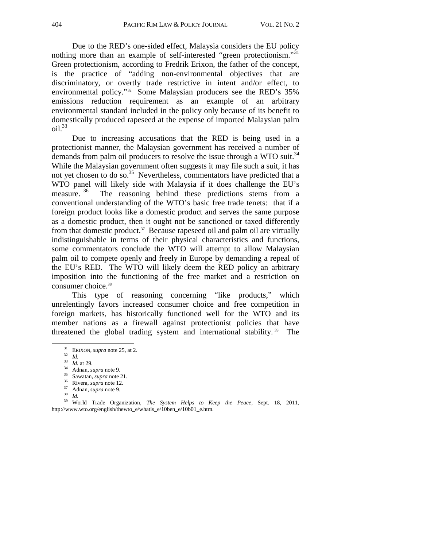Due to the RED's one-sided effect, Malaysia considers the EU policy nothing more than an example of self-interested "green protectionism."<sup>31</sup> Green protectionism, according to Fredrik Erixon, the father of the concept, is the practice of "adding non-environmental objectives that are discriminatory, or overtly trade restrictive in intent and/or effect, to environmental policy."<sup>32</sup> Some Malaysian producers see the RED's 35% emissions reduction requirement as an example of an arbitrary environmental standard included in the policy only because of its benefit to domestically produced rapeseed at the expense of imported Malaysian palm  $\delta$ il.<sup>33</sup>

 Due to increasing accusations that the RED is being used in a protectionist manner, the Malaysian government has received a number of demands from palm oil producers to resolve the issue through a WTO suit.<sup>34</sup> While the Malaysian government often suggests it may file such a suit, it has not yet chosen to do so.<sup>35</sup> Nevertheless, commentators have predicted that a WTO panel will likely side with Malaysia if it does challenge the EU's measure. <sup>36</sup> The reasoning behind these predictions stems from a conventional understanding of the WTO's basic free trade tenets: that if a foreign product looks like a domestic product and serves the same purpose as a domestic product, then it ought not be sanctioned or taxed differently from that domestic product.<sup>37</sup> Because rapeseed oil and palm oil are virtually indistinguishable in terms of their physical characteristics and functions, some commentators conclude the WTO will attempt to allow Malaysian palm oil to compete openly and freely in Europe by demanding a repeal of the EU's RED. The WTO will likely deem the RED policy an arbitrary imposition into the functioning of the free market and a restriction on consumer choice.<sup>38</sup>

 This type of reasoning concerning "like products," which unrelentingly favors increased consumer choice and free competition in foreign markets, has historically functioned well for the WTO and its member nations as a firewall against protectionist policies that have threatened the global trading system and international stability. 39 The

<sup>&</sup>lt;sup>31</sup> ERIXON, *supra* note 25, at 2.<br>
<sup>32</sup> Id.<br>
<sup>33</sup> Id. at 29.<br>
<sup>34</sup> Adnan, *supra* note 9.<br>
<sup>35</sup> Sawatan, *supra* note 21.<br>
<sup>36</sup> Rivera, *supra* note 12.<br>
<sup>37</sup> Adnan, *supra* note 9.<br>
<sup>37</sup> Adnan, *supra* note 9.<br>
<sup>38</sup> Id http://www.wto.org/english/thewto\_e/whatis\_e/10ben\_e/10b01\_e.htm.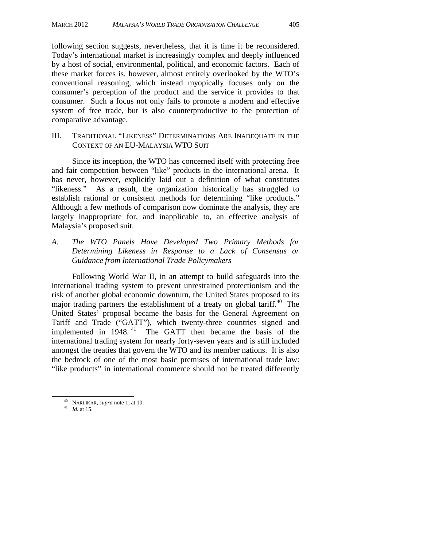following section suggests, nevertheless, that it is time it be reconsidered. Today's international market is increasingly complex and deeply influenced by a host of social, environmental, political, and economic factors. Each of these market forces is, however, almost entirely overlooked by the WTO's conventional reasoning, which instead myopically focuses only on the consumer's perception of the product and the service it provides to that consumer. Such a focus not only fails to promote a modern and effective system of free trade, but is also counterproductive to the protection of comparative advantage.

III. TRADITIONAL "LIKENESS" DETERMINATIONS ARE INADEQUATE IN THE CONTEXT OF AN EU-MALAYSIA WTO SUIT

 Since its inception, the WTO has concerned itself with protecting free and fair competition between "like" products in the international arena. It has never, however, explicitly laid out a definition of what constitutes "likeness." As a result, the organization historically has struggled to establish rational or consistent methods for determining "like products." Although a few methods of comparison now dominate the analysis, they are largely inappropriate for, and inapplicable to, an effective analysis of Malaysia's proposed suit.

*A. The WTO Panels Have Developed Two Primary Methods for Determining Likeness in Response to a Lack of Consensus or Guidance from International Trade Policymakers* 

 Following World War II, in an attempt to build safeguards into the international trading system to prevent unrestrained protectionism and the risk of another global economic downturn, the United States proposed to its major trading partners the establishment of a treaty on global tariff.<sup>40</sup> The United States' proposal became the basis for the General Agreement on Tariff and Trade ("GATT"), which twenty-three countries signed and implemented in 1948.<sup>41</sup> The GATT then became the basis of the international trading system for nearly forty-seven years and is still included amongst the treaties that govern the WTO and its member nations. It is also the bedrock of one of the most basic premises of international trade law: "like products" in international commerce should not be treated differently

 <sup>40</sup> NARLIKAR, *supra* note 1, at 10. 41 *Id.* at 15.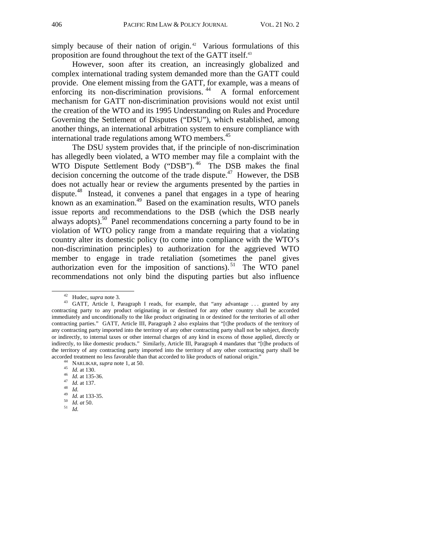simply because of their nation of origin.<sup>42</sup> Various formulations of this proposition are found throughout the text of the GATT itself.<sup>43</sup>

 However, soon after its creation, an increasingly globalized and complex international trading system demanded more than the GATT could provide. One element missing from the GATT, for example, was a means of enforcing its non-discrimination provisions.<sup>44</sup> A formal enforcement mechanism for GATT non-discrimination provisions would not exist until the creation of the WTO and its 1995 Understanding on Rules and Procedure Governing the Settlement of Disputes ("DSU"), which established, among another things, an international arbitration system to ensure compliance with international trade regulations among WTO members.<sup>45</sup>

 The DSU system provides that, if the principle of non-discrimination has allegedly been violated, a WTO member may file a complaint with the WTO Dispute Settlement Body ("DSB").<sup>46</sup> The DSB makes the final decision concerning the outcome of the trade dispute.<sup>47</sup> However, the DSB does not actually hear or review the arguments presented by the parties in dispute.<sup>48</sup> Instead, it convenes a panel that engages in a type of hearing known as an examination. $49$  Based on the examination results, WTO panels issue reports and recommendations to the DSB (which the DSB nearly always adopts).<sup>50</sup> Panel recommendations concerning a party found to be in violation of WTO policy range from a mandate requiring that a violating country alter its domestic policy (to come into compliance with the WTO's non-discrimination principles) to authorization for the aggrieved WTO member to engage in trade retaliation (sometimes the panel gives authorization even for the imposition of sanctions).<sup>51</sup> The WTO panel recommendations not only bind the disputing parties but also influence

- 
- 
- 
- 

<sup>&</sup>lt;sup>42</sup> Hudec, *supra* note 3.<br><sup>43</sup> GATT, Article I, Paragraph I reads, for example, that "any advantage ... granted by any contracting party to any product originating in or destined for any other country shall be accorded immediately and unconditionally to the like product originating in or destined for the territories of all other contracting parties." GATT, Article III, Paragraph 2 also explains that "[t]he products of the territory of any contracting party imported into the territory of any other contracting party shall not be subject, directly or indirectly, to internal taxes or other internal charges of any kind in excess of those applied, directly or indirectly, to like domestic products." Similarly, Article III, Paragraph 4 mandates that "[t]he products of the territory of any contracting party imported into the territory of any other contracting party shall be accorded treatment no less favorable than that accorded to like products of national origin."<br>
<sup>44</sup> NARLIKAR, *supra* note 1, at 50.<br>
<sup>45</sup> *Id.* at 130.<br>
<sup>46</sup> *Id.* at 135-36.<br>
<sup>47</sup> *Id.* at 137.<br>
<sup>48</sup> *Id.* at 133-35.<br>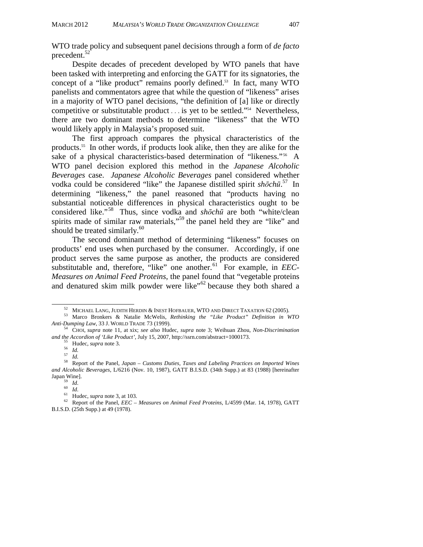WTO trade policy and subsequent panel decisions through a form of *de facto*  precedent.<sup>5</sup>

 Despite decades of precedent developed by WTO panels that have been tasked with interpreting and enforcing the GATT for its signatories, the concept of a "like product" remains poorly defined.<sup>53</sup> In fact, many WTO panelists and commentators agree that while the question of "likeness" arises in a majority of WTO panel decisions, "the definition of [a] like or directly competitive or substitutable product . . . is yet to be settled."54 Nevertheless, there are two dominant methods to determine "likeness" that the WTO would likely apply in Malaysia's proposed suit.

 The first approach compares the physical characteristics of the products.55 In other words, if products look alike, then they are alike for the sake of a physical characteristics-based determination of "likeness."<sup>56</sup> A WTO panel decision explored this method in the *Japanese Alcoholic Beverages* case. *Japanese Alcoholic Beverages* panel considered whether vodka could be considered "like" the Japanese distilled spirit *shōchū*. 57 In determining "likeness," the panel reasoned that "products having no substantial noticeable differences in physical characteristics ought to be considered like."58 Thus, since vodka and *shōchū* are both "white/clean spirits made of similar raw materials,<sup> $59$ </sup> the panel held they are "like" and should be treated similarly. $60$ 

 The second dominant method of determining "likeness" focuses on products' end uses when purchased by the consumer. Accordingly, if one product serves the same purpose as another, the products are considered substitutable and, therefore, "like" one another.<sup>61</sup> For example, in *EEC*-*Measures on Animal Feed Proteins*, the panel found that "vegetable proteins and denatured skim milk powder were like"<sup>62</sup> because they both shared a

 <sup>52</sup> MICHAEL LANG, JUDITH HERDIN & INEST HOFBAUER, WTO AND DIRECT TAXATION 62 (2005). 53 Marco Bronkers & Natalie McWelis, *Rethinking the "Like Product" Definition in WTO Anti-Dumping Law*, 33 J. WORLD TRADE 73 (1999). 54 CHOI, *supra* note 11, at xix; *see also* Hudec, *supra* note 3; Weihuan Zhou, *Non-Discrimination* 

and the Accordion of 'Like Product', July 15, 2007, http://ssrn.com/abstract=1000173.<br>
<sup>55</sup>Hudec, *supra* note 3.<br>
<sup>56</sup>*Id.*<br>
<sup>57</sup>*Id.*<br>
<sup>58</sup> Report of the Panel, *Japan – Customs Duties, Taxes and Labeling Practices on I* 

*and Alcoholic Beverages*, L/6216 (Nov. 10, 1987), GATT B.I.S.D. (34th Supp.) at 83 (1988) [hereinafter

<sup>&</sup>lt;sup>59</sup> Id.<br><sup>60</sup> Id.<br><sup>61</sup> Hudec, *supra* note 3, at 103.<br><sup>62</sup> Report of the Panel, *EEC – Measures on Animal Feed Proteins*, L/4599 (Mar. 14, 1978), GATT B.I.S.D. (25th Supp.) at 49 (1978).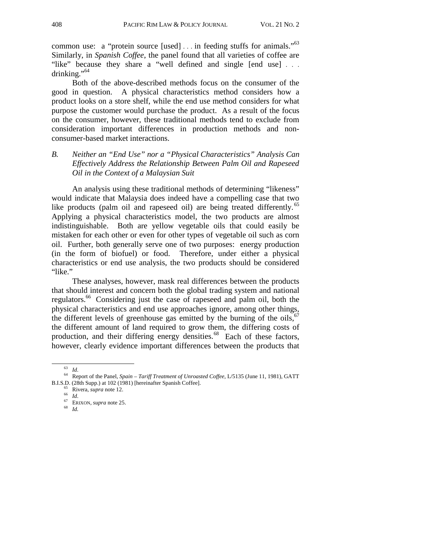common use: a "protein source [used] ... in feeding stuffs for animals."<sup>63</sup> Similarly, in *Spanish Coffee*, the panel found that all varieties of coffee are "like" because they share a "well defined and single [end use] ... drinking."<sup>64</sup>

 Both of the above-described methods focus on the consumer of the good in question. A physical characteristics method considers how a product looks on a store shelf, while the end use method considers for what purpose the customer would purchase the product. As a result of the focus on the consumer, however, these traditional methods tend to exclude from consideration important differences in production methods and nonconsumer-based market interactions.

## *B. Neither an "End Use" nor a "Physical Characteristics" Analysis Can Effectively Address the Relationship Between Palm Oil and Rapeseed Oil in the Context of a Malaysian Suit*

 An analysis using these traditional methods of determining "likeness" would indicate that Malaysia does indeed have a compelling case that two like products (palm oil and rapeseed oil) are being treated differently.<sup>65</sup> Applying a physical characteristics model, the two products are almost indistinguishable. Both are yellow vegetable oils that could easily be mistaken for each other or even for other types of vegetable oil such as corn oil. Further, both generally serve one of two purposes: energy production (in the form of biofuel) or food. Therefore, under either a physical characteristics or end use analysis, the two products should be considered "like."

 These analyses, however, mask real differences between the products that should interest and concern both the global trading system and national regulators.66 Considering just the case of rapeseed and palm oil, both the physical characteristics and end use approaches ignore, among other things, the different levels of greenhouse gas emitted by the burning of the oils,  $67$ the different amount of land required to grow them, the differing costs of production, and their differing energy densities. $^{68}$  Each of these factors, however, clearly evidence important differences between the products that

<sup>63</sup> *Id*. 64 Report of the Panel, *Spain – Tariff Treatment of Unroasted Coffee*, L/5135 (June 11, 1981), GATT B.I.S.D. (28th Supp.) at 102 (1981) [hereinafter Spanish Coffee]. 65 Rivera, *supra* note 12. 66 *Id*. 67 ERIXON, *supra* note 25. 68 *Id.*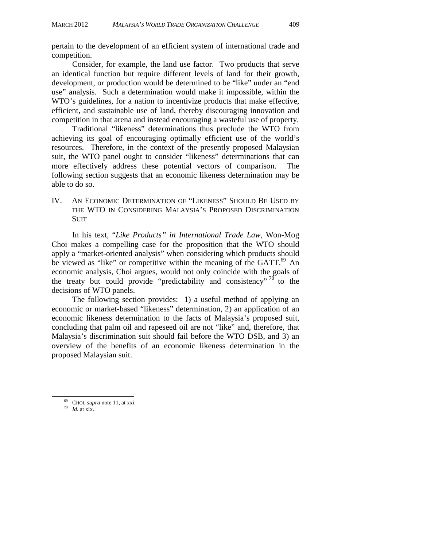pertain to the development of an efficient system of international trade and competition.

Consider, for example, the land use factor. Two products that serve an identical function but require different levels of land for their growth, development, or production would be determined to be "like" under an "end use" analysis. Such a determination would make it impossible, within the WTO's guidelines, for a nation to incentivize products that make effective, efficient, and sustainable use of land, thereby discouraging innovation and competition in that arena and instead encouraging a wasteful use of property.

 Traditional "likeness" determinations thus preclude the WTO from achieving its goal of encouraging optimally efficient use of the world's resources. Therefore, in the context of the presently proposed Malaysian suit, the WTO panel ought to consider "likeness" determinations that can more effectively address these potential vectors of comparison. The following section suggests that an economic likeness determination may be able to do so.

IV. AN ECONOMIC DETERMINATION OF "LIKENESS" SHOULD BE USED BY THE WTO IN CONSIDERING MALAYSIA'S PROPOSED DISCRIMINATION SUIT

 In his text, "*Like Products" in International Trade Law*, Won-Mog Choi makes a compelling case for the proposition that the WTO should apply a "market-oriented analysis" when considering which products should be viewed as "like" or competitive within the meaning of the GATT.<sup>69</sup> An economic analysis, Choi argues, would not only coincide with the goals of the treaty but could provide "predictability and consistency"  $^{70}$  to the decisions of WTO panels.

The following section provides: 1) a useful method of applying an economic or market-based "likeness" determination, 2) an application of an economic likeness determination to the facts of Malaysia's proposed suit, concluding that palm oil and rapeseed oil are not "like" and, therefore, that Malaysia's discrimination suit should fail before the WTO DSB, and 3) an overview of the benefits of an economic likeness determination in the proposed Malaysian suit.

 $^{69}$  CHOI, *supra* note 11, at xxi.  $^{70}$  *Id.* at xix.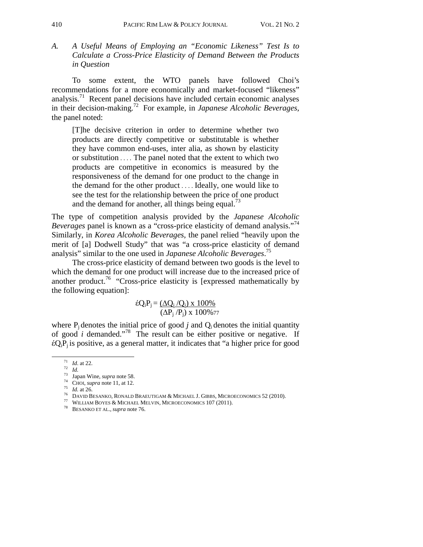*A. A Useful Means of Employing an "Economic Likeness" Test Is to Calculate a Cross-Price Elasticity of Demand Between the Products in Question* 

To some extent, the WTO panels have followed Choi's recommendations for a more economically and market-focused "likeness" analysis.<sup>71</sup> Recent panel decisions have included certain economic analyses in their decision-making.72 For example, in *Japanese Alcoholic Beverages,* the panel noted:

[T]he decisive criterion in order to determine whether two products are directly competitive or substitutable is whether they have common end-uses, inter alia, as shown by elasticity or substitution . . . . The panel noted that the extent to which two products are competitive in economics is measured by the responsiveness of the demand for one product to the change in the demand for the other product . . . . Ideally, one would like to see the test for the relationship between the price of one product and the demand for another, all things being equal.<sup>73</sup>

The type of competition analysis provided by the *Japanese Alcoholic Beverages* panel is known as a "cross-price elasticity of demand analysis."<sup>74</sup> Similarly, in *Korea Alcoholic Beverages,* the panel relied "heavily upon the merit of [a] Dodwell Study" that was "a cross-price elasticity of demand analysis" similar to the one used in *Japanese Alcoholic Beverages*. 75

 The cross-price elasticity of demand between two goods is the level to which the demand for one product will increase due to the increased price of another product.<sup>76</sup> "Cross-price elasticity is [expressed mathematically by the following equation]:

$$
\hat{\epsilon}Q_iP_j = \frac{(\Delta Q_i/Q_i) \times 100\%}{(\Delta P_j/P_j) \times 100\%77}
$$

where  $P_i$  denotes the initial price of good *j* and  $Q_i$  denotes the initial quantity of good *i* demanded."78 The result can be either positive or negative. If  $\epsilon Q_iP_i$  is positive, as a general matter, it indicates that "a higher price for good

<sup>&</sup>lt;sup>71</sup> *Id.* at 22.<br>
<sup>72</sup> *Id.*<br>
<sup>73</sup> Japan Wine, *supra* note 58.<br>
<sup>74</sup> CHOI, *supra* note 11, at 12.<br>
<sup>75</sup> *Id.* at 26.<br>
<sup>75</sup> DAVID BESANKO, RONALD BRAEUTIGAM & MICHAEL J. GIBBS, MICROECONOMICS 52 (2010).<br>
<sup>77</sup> WILLIAM BO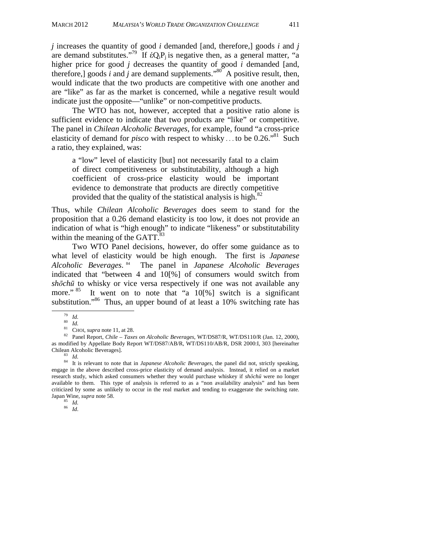*j* increases the quantity of good *i* demanded [and, therefore,] goods *i* and *j* are demand substitutes."<sup>79</sup> If  $\epsilon Q_iP_i$  is negative then, as a general matter, "a higher price for good *j* decreases the quantity of good *i* demanded [and, therefore,] goods  $\tilde{i}$  and  $\tilde{j}$  are demand supplements."<sup>80</sup> A positive result, then, would indicate that the two products are competitive with one another and are "like" as far as the market is concerned, while a negative result would indicate just the opposite—"unlike" or non-competitive products.

 The WTO has not, however, accepted that a positive ratio alone is sufficient evidence to indicate that two products are "like" or competitive. The panel in *Chilean Alcoholic Beverages,* for example, found "a cross-price elasticity of demand for *pisco* with respect to whisky ... to be  $0.26.^{81}$  Such a ratio, they explained, was:

a "low" level of elasticity [but] not necessarily fatal to a claim of direct competitiveness or substitutability, although a high coefficient of cross-price elasticity would be important evidence to demonstrate that products are directly competitive provided that the quality of the statistical analysis is high. $82$ 

Thus, while *Chilean Alcoholic Beverages* does seem to stand for the proposition that a 0.26 demand elasticity is too low, it does not provide an indication of what is "high enough" to indicate "likeness" or substitutability within the meaning of the GATT.<sup>83</sup>

Two WTO Panel decisions, however, do offer some guidance as to what level of elasticity would be high enough. The first is *Japanese Alcoholic Beverages*. 84 The panel in *Japanese Alcoholic Beverages* indicated that "between 4 and 10[%] of consumers would switch from *shōchū* to whisky or vice versa respectively if one was not available any more." <sup>85</sup> It went on to note that "a 10[%] switch is a significant substitution."<sup>86</sup> Thus, an upper bound of at least a 10% switching rate has<br>
<sup>79</sup> Id.<br>
<sup>80</sup> Id.<br>
<sup>81</sup> CHOI, *supra* note 11, at 28.<br>
<sup>81</sup> CHOI, *supra* note 11, at 28.<br>
<sup>82</sup> Panel Report, *Chile – Taxes on Alcoholic Beve* 

as modified by Appellate Body Report WT/DS87/AB/R, WT/DS110/AB/R, DSR 2000:I, 303 [hereinafter Chilean Alcoholic Beverages]. 83 *Id.* 84 It is relevant to note that in *Japanese Alcoholic Beverages*, the panel did not, strictly speaking,

engage in the above described cross-price elasticity of demand analysis. Instead, it relied on a market research study, which asked consumers whether they would purchase whiskey if *shōchū* were no longer available to them. This type of analysis is referred to as a "non availability analysis" and has been criticized by some as unlikely to occur in the real market and tending to exaggerate the switching rate. Japan Wine, *supra* note 58. 85 *Id.* <sup>86</sup>*Id*.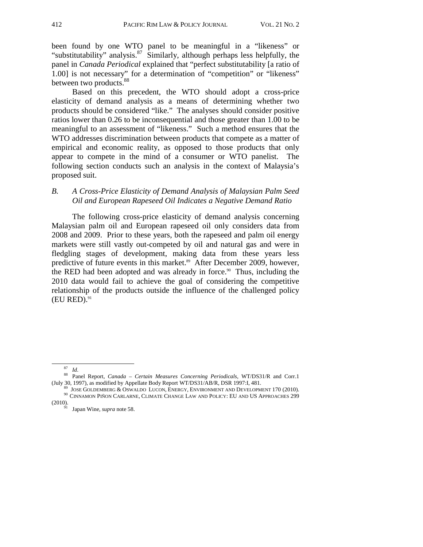been found by one WTO panel to be meaningful in a "likeness" or "substitutability" analysis. $87$  Similarly, although perhaps less helpfully, the panel in *Canada Periodical* explained that "perfect substitutability [a ratio of 1.00] is not necessary" for a determination of "competition" or "likeness" between two products.<sup>88</sup>

 Based on this precedent, the WTO should adopt a cross-price elasticity of demand analysis as a means of determining whether two products should be considered "like." The analyses should consider positive ratios lower than 0.26 to be inconsequential and those greater than 1.00 to be meaningful to an assessment of "likeness." Such a method ensures that the WTO addresses discrimination between products that compete as a matter of empirical and economic reality, as opposed to those products that only appear to compete in the mind of a consumer or WTO panelist. The following section conducts such an analysis in the context of Malaysia's proposed suit.

## *B. A Cross-Price Elasticity of Demand Analysis of Malaysian Palm Seed Oil and European Rapeseed Oil Indicates a Negative Demand Ratio*

The following cross-price elasticity of demand analysis concerning Malaysian palm oil and European rapeseed oil only considers data from 2008 and 2009. Prior to these years, both the rapeseed and palm oil energy markets were still vastly out-competed by oil and natural gas and were in fledgling stages of development, making data from these years less predictive of future events in this market.<sup>89</sup> After December 2009, however, the RED had been adopted and was already in force.<sup>90</sup> Thus, including the 2010 data would fail to achieve the goal of considering the competitive relationship of the products outside the influence of the challenged policy  $(EU RED).<sup>91</sup>$ 

<sup>&</sup>lt;sup>87</sup> Id.<br><sup>88</sup> Panel Report, *Canada – Certain Measures Concerning Periodicals*, WT/DS31/R and Corr.1<br>(July 30, 1997), as modified by Appellate Body Report WT/DS31/AB/R, DSR 1997:I, 481.

 $^{89}$  Jose Goldemberg & Oswaldo Lucon, ENERGY, ENVIRONMENT AND DEVELOPMENT 170 (2010).<br><sup>90</sup> CINNAMON PIÑON CARLARNE, CLIMATE CHANGE LAW AND POLICY: EU AND US APPROACHES 299 (2010).

 $^{91}$  Japan Wine, *supra* note 58.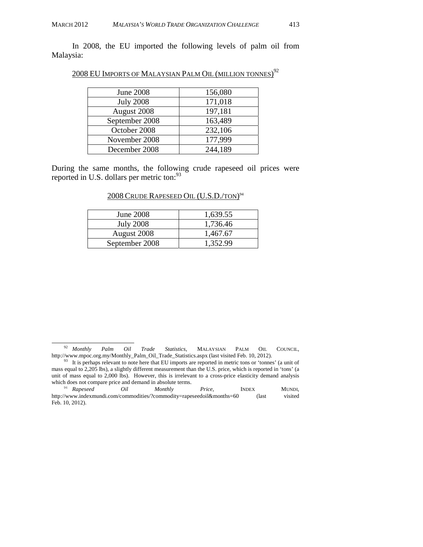In 2008, the EU imported the following levels of palm oil from Malaysia:

|  | 2008 EU IMPORTS OF MALAYSIAN PALM OIL (MILLION TONNES) <sup>92</sup> |  |  |
|--|----------------------------------------------------------------------|--|--|
|  |                                                                      |  |  |

| June 2008        | 156,080 |
|------------------|---------|
| <b>July 2008</b> | 171,018 |
| August 2008      | 197,181 |
| September 2008   | 163,489 |
| October 2008     | 232,106 |
| November 2008    | 177,999 |
| December 2008    | 244,189 |

During the same months, the following crude rapeseed oil prices were reported in U.S. dollars per metric ton:<sup>93</sup>

#### 2008 CRUDE RAPESEED OIL (U.S.D./TON) 94

| June 2008        | 1,639.55 |
|------------------|----------|
| <b>July 2008</b> | 1,736.46 |
| August 2008      | 1,467.67 |
| September 2008   | 1,352.99 |

<sup>&</sup>lt;sup>92</sup> Monthly Palm Oil Trade Statistics, MALAYSIAN PALM OIL COUNCIL, http://www.mpoc.org.my/Monthly\_Palm\_Oil\_Trade\_Statistics.aspx (last visited Feb. 10, 2012).<br><sup>93</sup> It is perhaps relevant to note here that EU imports are reported in metric tons or 'tonnes' (a unit of

mass equal to 2,205 lbs), a slightly different measurement than the U.S. price, which is reported in 'tons' (a unit of mass equal to 2,000 lbs). However, this is irrelevant to a cross-price elasticity demand analysis which does not compare price and demand in absolute terms.

<sup>94</sup> *Rapeseed Oil Monthly Price*, INDEX MUNDI, http://www.indexmundi.com/commodities/?commodity=rapeseedoil&months=60 (last visited Feb. 10, 2012).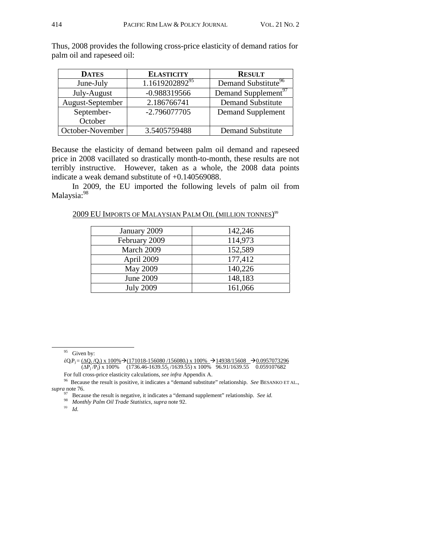| <b>DATES</b>     | <b>ELASTICITY</b>          | <b>RESULT</b>                   |  |  |  |
|------------------|----------------------------|---------------------------------|--|--|--|
| June-July        | 1.1619202892 <sup>95</sup> | Demand Substitute <sup>96</sup> |  |  |  |
| July-August      | $-0.988319566$             | Demand Supplement <sup>97</sup> |  |  |  |
| August-September | 2.186766741                | <b>Demand Substitute</b>        |  |  |  |
| September-       | -2.796077705               | <b>Demand Supplement</b>        |  |  |  |
| October          |                            |                                 |  |  |  |
| October-November | 3.5405759488               | <b>Demand Substitute</b>        |  |  |  |

Thus, 2008 provides the following cross-price elasticity of demand ratios for palm oil and rapeseed oil:

Because the elasticity of demand between palm oil demand and rapeseed price in 2008 vacillated so drastically month-to-month, these results are not terribly instructive. However, taken as a whole, the 2008 data points indicate a weak demand substitute of +0.140569088.

 In 2009, the EU imported the following levels of palm oil from Malaysia:<sup>98</sup>

2009 EU Imports of Malaysian Palm Oil (million tonnes)<sup>99</sup>

| January 2009     | 142,246 |
|------------------|---------|
| February 2009    | 114,973 |
| March 2009       | 152,589 |
| April 2009       | 177,412 |
| May 2009         | 140,226 |
| June 2009        | 148,183 |
| <b>July 2009</b> | 161,066 |

For full cross-price elasticity calculations, *see infra* Appendix A.

<sup>99</sup> *Id.*

<sup>&</sup>lt;sup>95</sup> Given by:

 $\&eQ_iP_j = (\Delta Q_i/Q_i) \times 100\% \rightarrow (171018-156080/156080_i) \times 100\% \rightarrow 14938/15608 \rightarrow 0.0957073296$  $\overline{(\Delta P_j/P_j)}$  x 100%  $\overline{(1736.46-1639.55_j/1639.55)}$  x 100%  $\overline{96.91/1639.55}$  0.059107682

<sup>96</sup> Because the result is positive, it indicates a "demand substitute" relationship. *See* BESANKO ET AL., *supra* note 76.

<sup>97</sup> Because the result is negative, it indicates a "demand supplement" relationship. *See id.* 98 *Monthly Palm Oil Trade Statistics, supra* note 92.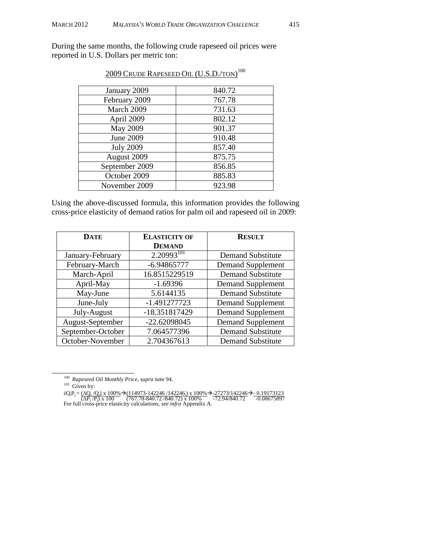During the same months, the following crude rapeseed oil prices were reported in U.S. Dollars per metric ton:

| January 2009     | 840.72 |
|------------------|--------|
| February 2009    | 767.78 |
| March 2009       | 731.63 |
| April 2009       | 802.12 |
| May 2009         | 901.37 |
| June 2009        | 910.48 |
| <b>July 2009</b> | 857.40 |
| August 2009      | 875.75 |
| September 2009   | 856.85 |
| October 2009     | 885.83 |
| November 2009    | 923.98 |

## 2009 Crude Rapeseed Oil (U.S.D./ton)<sup>100</sup>

Using the above-discussed formula, this information provides the following cross-price elasticity of demand ratios for palm oil and rapeseed oil in 2009:

| <b>DATE</b>       | <b>ELASTICITY OF</b> | <b>RESULT</b>            |  |  |
|-------------------|----------------------|--------------------------|--|--|
|                   | <b>DEMAND</b>        |                          |  |  |
| January-February  | $2.20993^{101}$      | <b>Demand Substitute</b> |  |  |
| February-March    | $-6.94865777$        | <b>Demand Supplement</b> |  |  |
| March-April       | 16.8515229519        | <b>Demand Substitute</b> |  |  |
| April-May         | $-1.69396$           | <b>Demand Supplement</b> |  |  |
| May-June          | 5.6144135            | <b>Demand Substitute</b> |  |  |
| June-July         | $-1.491277723$       | <b>Demand Supplement</b> |  |  |
| July-August       | -18.351817429        | <b>Demand Supplement</b> |  |  |
| August-September  | -22.62098045         | <b>Demand Supplement</b> |  |  |
| September-October | 7.064577396          | <b>Demand Substitute</b> |  |  |
| October-November  | 2.704367613          | <b>Demand Substitute</b> |  |  |

<sup>&</sup>lt;sup>100</sup> Rapeseed Oil Monthly Price, *supra* note 94.<br><sup>101</sup> Given by:

 $\&eQ_iP_j = \frac{(\Delta Q_i / Q_i)}{(\Delta P_j / P_i)} \times 100\%$  → (114973-142246/142246) x 100% → 27273/142246 → 0.19173123<br>
For full cross-price elasticity calculations, *see infra* Appendix A.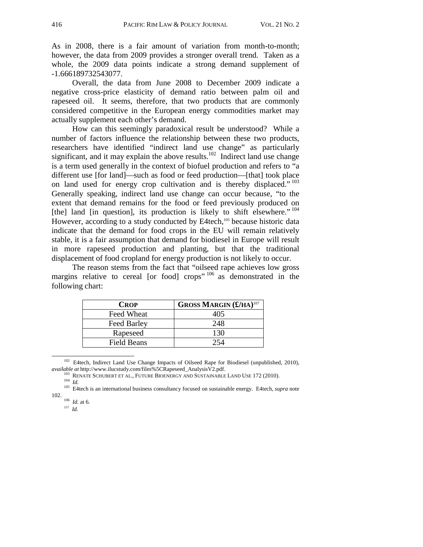As in 2008, there is a fair amount of variation from month-to-month; however, the data from 2009 provides a stronger overall trend. Taken as a whole, the 2009 data points indicate a strong demand supplement of -1.666189732543077.

 Overall, the data from June 2008 to December 2009 indicate a negative cross-price elasticity of demand ratio between palm oil and rapeseed oil. It seems, therefore, that two products that are commonly considered competitive in the European energy commodities market may actually supplement each other's demand.

 How can this seemingly paradoxical result be understood? While a number of factors influence the relationship between these two products, researchers have identified "indirect land use change" as particularly significant, and it may explain the above results.<sup>102</sup> Indirect land use change is a term used generally in the context of biofuel production and refers to "a different use [for land]—such as food or feed production—[that] took place on land used for energy crop cultivation and is thereby displaced."<sup>103</sup> Generally speaking, indirect land use change can occur because, "to the extent that demand remains for the food or feed previously produced on [the] land [in question], its production is likely to shift elsewhere."  $104$ However, according to a study conducted by E4tech,<sup>105</sup> because historic data indicate that the demand for food crops in the EU will remain relatively stable, it is a fair assumption that demand for biodiesel in Europe will result in more rapeseed production and planting, but that the traditional displacement of food cropland for energy production is not likely to occur.

 The reason stems from the fact that "oilseed rape achieves low gross margins relative to cereal [or food] crops"  $106$  as demonstrated in the following chart:

| <b>CROP</b> | <b>GROSS MARGIN (£/HA)</b> <sup>107</sup> |
|-------------|-------------------------------------------|
| Feed Wheat  | 405                                       |
| Feed Barley | 248                                       |
| Rapeseed    | 130                                       |
| Field Beans |                                           |

<sup>&</sup>lt;sup>102</sup> E4tech, Indirect Land Use Change Impacts of Oilseed Rape for Biodiesel (unpublished, 2010), *available at* http://www.ilucstudy.com/files%5CRapeseed\_AnalysisV2.pdf.

<sup>107</sup> *Id.*

<sup>&</sup>lt;sup>103</sup> RENATE SCHUBERT ET AL., FUTURE BIOENERGY AND SUSTAINABLE LAND USE 172 (2010).<br><sup>104</sup> *Id.* <sup>105</sup> E4tech is an international business consultancy focused on sustainable energy. E4tech, *supra* note 102.

<sup>&</sup>lt;sup>106</sup> *Id.* at 6.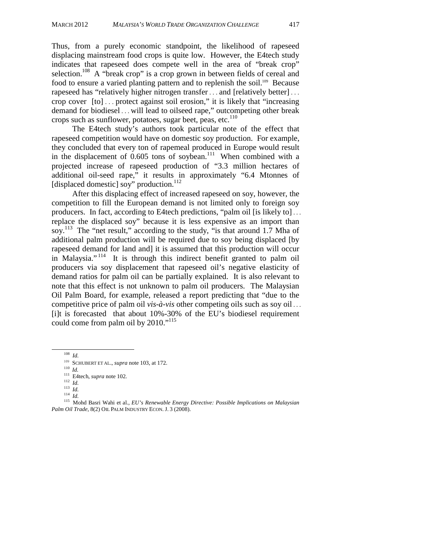Thus, from a purely economic standpoint, the likelihood of rapeseed displacing mainstream food crops is quite low. However, the E4tech study indicates that rapeseed does compete well in the area of "break crop" selection.<sup>108</sup> A "break crop" is a crop grown in between fields of cereal and food to ensure a varied planting pattern and to replenish the soil.<sup>109</sup> Because rapeseed has "relatively higher nitrogen transfer . . . and [relatively better] . . . crop cover [to] . . . protect against soil erosion," it is likely that "increasing demand for biodiesel . . . will lead to oilseed rape," outcompeting other break crops such as sunflower, potatoes, sugar beet, peas, etc. $110$ 

 The E4tech study's authors took particular note of the effect that rapeseed competition would have on domestic soy production. For example, they concluded that every ton of rapemeal produced in Europe would result in the displacement of  $0.605$  tons of soybean.<sup>111</sup> When combined with a projected increase of rapeseed production of "3.3 million hectares of additional oil-seed rape," it results in approximately "6.4 Mtonnes of [displaced domestic] soy" production.<sup>112</sup>

 After this displacing effect of increased rapeseed on soy, however, the competition to fill the European demand is not limited only to foreign soy producers. In fact, according to E4tech predictions, "palm oil [is likely to] . . . replace the displaced soy" because it is less expensive as an import than soy.<sup>113</sup> The "net result," according to the study, "is that around 1.7 Mha of additional palm production will be required due to soy being displaced [by rapeseed demand for land and] it is assumed that this production will occur in Malaysia."<sup>114</sup> It is through this indirect benefit granted to palm oil producers via soy displacement that rapeseed oil's negative elasticity of demand ratios for palm oil can be partially explained. It is also relevant to note that this effect is not unknown to palm oil producers. The Malaysian Oil Palm Board, for example, released a report predicting that "due to the competitive price of palm oil *vis-à-vis* other competing oils such as soy oil . . . [i]t is forecasted that about 10%-30% of the EU's biodiesel requirement could come from palm oil by 2010."<sup>115</sup>

<sup>&</sup>lt;sup>108</sup> *Id.* SCHUBERT ET AL., *supra* note 103, at 172.

<sup>&</sup>lt;sup>110</sup> *Id.*<br>
<sup>111</sup> E4tech, *supra* note 102.<br>
<sup>112</sup> *Id.*<br>
<sup>113</sup> *Id.*<br>
<sup>114</sup> *Id.*<br>
<sup>114</sup> *Id.*<br>
<sup>114</sup> *Id.*<br>
<sup>114</sup> *Id.*<br>
<sup>114</sup> *Id.*<br>
<sup>115</sup> Mohd Basri Wahi et al., *EU's Renewable Energy Directive: Possible Implication* Palm Oil Trade, 8(2) OIL PALM INDUSTRY ECON. J. 3 (2008).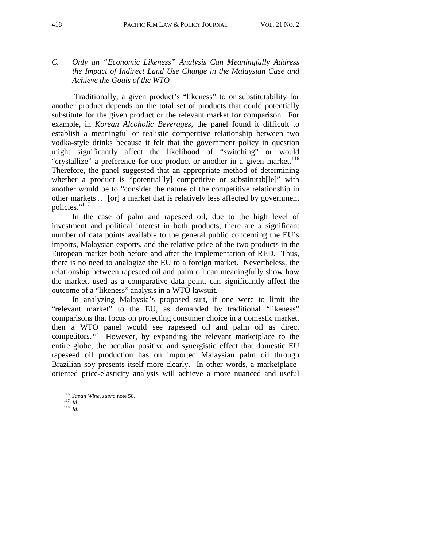Traditionally, a given product's "likeness" to or substitutability for another product depends on the total set of products that could potentially substitute for the given product or the relevant market for comparison. For example, in *Korean Alcoholic Beverages*, the panel found it difficult to establish a meaningful or realistic competitive relationship between two vodka-style drinks because it felt that the government policy in question might significantly affect the likelihood of "switching" or would "crystallize" a preference for one product or another in a given market.<sup>116</sup> Therefore, the panel suggested that an appropriate method of determining whether a product is "potential[ly] competitive or substitutab[le]" with another would be to "consider the nature of the competitive relationship in other markets . . . [or] a market that is relatively less affected by government policies."<sup>117</sup>

 In the case of palm and rapeseed oil, due to the high level of investment and political interest in both products, there are a significant number of data points available to the general public concerning the EU's imports, Malaysian exports, and the relative price of the two products in the European market both before and after the implementation of RED. Thus, there is no need to analogize the EU to a foreign market. Nevertheless, the relationship between rapeseed oil and palm oil can meaningfully show how the market, used as a comparative data point, can significantly affect the outcome of a "likeness" analysis in a WTO lawsuit.

 In analyzing Malaysia's proposed suit, if one were to limit the "relevant market" to the EU, as demanded by traditional "likeness" comparisons that focus on protecting consumer choice in a domestic market, then a WTO panel would see rapeseed oil and palm oil as direct competitors. 118 However, by expanding the relevant marketplace to the entire globe, the peculiar positive and synergistic effect that domestic EU rapeseed oil production has on imported Malaysian palm oil through Brazilian soy presents itself more clearly. In other words, a marketplaceoriented price-elasticity analysis will achieve a more nuanced and useful

<sup>116</sup> *Japan Wine*, *supra* note 58. 117 *Id.* <sup>118</sup>*Id.*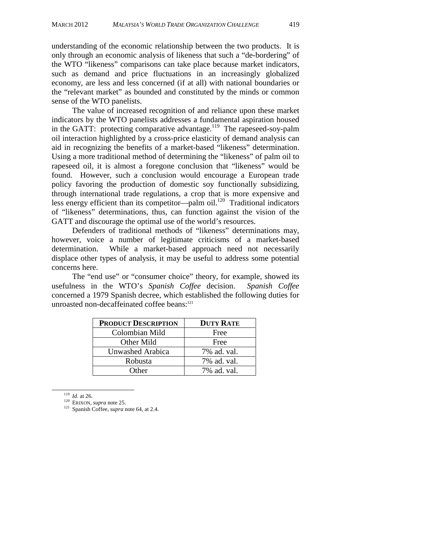understanding of the economic relationship between the two products. It is only through an economic analysis of likeness that such a "de-bordering" of the WTO "likeness" comparisons can take place because market indicators, such as demand and price fluctuations in an increasingly globalized economy, are less and less concerned (if at all) with national boundaries or the "relevant market" as bounded and constituted by the minds or common sense of the WTO panelists.

 The value of increased recognition of and reliance upon these market indicators by the WTO panelists addresses a fundamental aspiration housed in the GATT: protecting comparative advantage.<sup>119</sup> The rapeseed-soy-palm oil interaction highlighted by a cross-price elasticity of demand analysis can aid in recognizing the benefits of a market-based "likeness" determination. Using a more traditional method of determining the "likeness" of palm oil to rapeseed oil, it is almost a foregone conclusion that "likeness" would be found. However, such a conclusion would encourage a European trade policy favoring the production of domestic soy functionally subsidizing, through international trade regulations, a crop that is more expensive and less energy efficient than its competitor—palm oil.<sup>120</sup> Traditional indicators of "likeness" determinations, thus, can function against the vision of the GATT and discourage the optimal use of the world's resources.

 Defenders of traditional methods of "likeness" determinations may, however, voice a number of legitimate criticisms of a market-based determination. While a market-based approach need not necessarily displace other types of analysis, it may be useful to address some potential concerns here.

The "end use" or "consumer choice" theory, for example, showed its usefulness in the WTO's *Spanish Coffee* decision. *Spanish Coffee* concerned a 1979 Spanish decree, which established the following duties for unroasted non-decaffeinated coffee beans:<sup>121</sup>

| <b>PRODUCT DESCRIPTION</b> | <b>DUTY RATE</b> |
|----------------------------|------------------|
| Colombian Mild             | Free             |
| Other Mild                 | Free             |
| Unwashed Arabica           | 7% ad. val.      |
| Robusta                    | 7% ad. val.      |
| Other                      | 7% ad. val.      |

<sup>119</sup> *Id*. at 26. 120 ERIXON, *supra* note 25. 121 Spanish Coffee, *supra* note 64, at 2.4.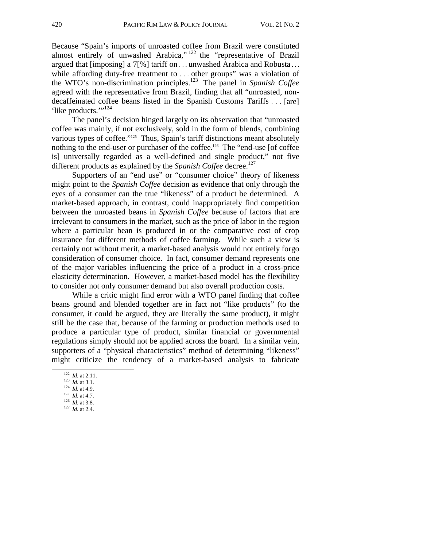Because "Spain's imports of unroasted coffee from Brazil were constituted almost entirely of unwashed Arabica," 122 the "representative of Brazil argued that [imposing] a 7[%] tariff on . . . unwashed Arabica and Robusta . . . while affording duty-free treatment to ... other groups" was a violation of the WTO's non-discrimination principles.123 The panel in *Spanish Coffee* agreed with the representative from Brazil, finding that all "unroasted, nondecaffeinated coffee beans listed in the Spanish Customs Tariffs . . . [are] 'like products.'"<sup>124</sup>

 The panel's decision hinged largely on its observation that "unroasted coffee was mainly, if not exclusively, sold in the form of blends, combining various types of coffee."<sup>125</sup> Thus, Spain's tariff distinctions meant absolutely nothing to the end-user or purchaser of the coffee.<sup>126</sup> The "end-use [of coffee is] universally regarded as a well-defined and single product," not five different products as explained by the *Spanish Coffee* decree.<sup>127</sup>

 Supporters of an "end use" or "consumer choice" theory of likeness might point to the *Spanish Coffee* decision as evidence that only through the eyes of a consumer can the true "likeness" of a product be determined. A market-based approach, in contrast, could inappropriately find competition between the unroasted beans in *Spanish Coffee* because of factors that are irrelevant to consumers in the market, such as the price of labor in the region where a particular bean is produced in or the comparative cost of crop insurance for different methods of coffee farming. While such a view is certainly not without merit, a market-based analysis would not entirely forgo consideration of consumer choice. In fact, consumer demand represents one of the major variables influencing the price of a product in a cross-price elasticity determination. However, a market-based model has the flexibility to consider not only consumer demand but also overall production costs.

While a critic might find error with a WTO panel finding that coffee beans ground and blended together are in fact not "like products" (to the consumer, it could be argued, they are literally the same product), it might still be the case that, because of the farming or production methods used to produce a particular type of product, similar financial or governmental regulations simply should not be applied across the board. In a similar vein, supporters of a "physical characteristics" method of determining "likeness" might criticize the tendency of a market-based analysis to fabricate

<sup>122</sup> *Id.* at 2.11. 123 *Id.* at 3.1. 124 *Id.* at 4.9.

<sup>125</sup> *Id.* at 4.7.

<sup>126</sup> *Id.* at 3.8.<br><sup>127</sup> *Id.* at 2.4.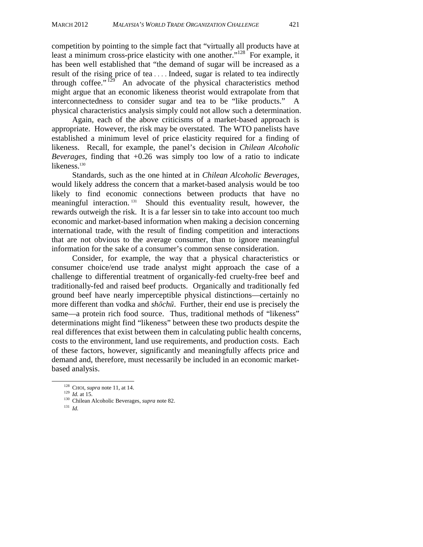competition by pointing to the simple fact that "virtually all products have at least a minimum cross-price elasticity with one another." $128$  For example, it has been well established that "the demand of sugar will be increased as a result of the rising price of tea . . . . Indeed, sugar is related to tea indirectly through coffee." $129'$  An advocate of the physical characteristics method might argue that an economic likeness theorist would extrapolate from that interconnectedness to consider sugar and tea to be "like products." A physical characteristics analysis simply could not allow such a determination.

 Again, each of the above criticisms of a market-based approach is appropriate. However, the risk may be overstated. The WTO panelists have established a minimum level of price elasticity required for a finding of likeness. Recall, for example, the panel's decision in *Chilean Alcoholic Beverages,* finding that +0.26 was simply too low of a ratio to indicate likeness.<sup>130</sup>

Standards, such as the one hinted at in *Chilean Alcoholic Beverages*, would likely address the concern that a market-based analysis would be too likely to find economic connections between products that have no meaningful interaction. 131 Should this eventuality result, however, the rewards outweigh the risk. It is a far lesser sin to take into account too much economic and market-based information when making a decision concerning international trade, with the result of finding competition and interactions that are not obvious to the average consumer, than to ignore meaningful information for the sake of a consumer's common sense consideration.

 Consider, for example, the way that a physical characteristics or consumer choice/end use trade analyst might approach the case of a challenge to differential treatment of organically-fed cruelty-free beef and traditionally-fed and raised beef products. Organically and traditionally fed ground beef have nearly imperceptible physical distinctions—certainly no more different than vodka and *shōchū*. Further, their end use is precisely the same—a protein rich food source. Thus, traditional methods of "likeness" determinations might find "likeness" between these two products despite the real differences that exist between them in calculating public health concerns, costs to the environment, land use requirements, and production costs. Each of these factors, however, significantly and meaningfully affects price and demand and, therefore, must necessarily be included in an economic marketbased analysis.

131 *Id.*

 <sup>128</sup> CHOI, *supra* note 11, at 14. 129 *Id.* at 15. 130 Chilean Alcoholic Beverages, *supra* note 82.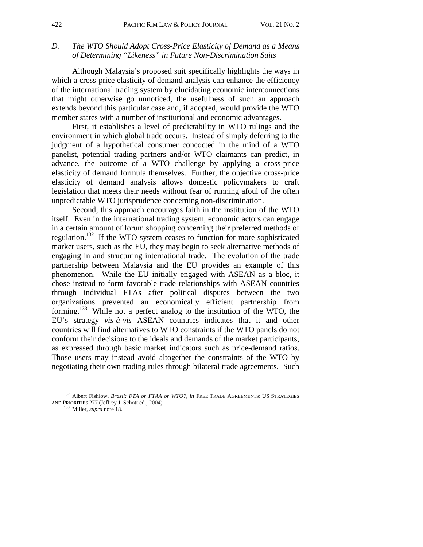## *D. The WTO Should Adopt Cross-Price Elasticity of Demand as a Means of Determining "Likeness" in Future Non-Discrimination Suits*

Although Malaysia's proposed suit specifically highlights the ways in which a cross-price elasticity of demand analysis can enhance the efficiency of the international trading system by elucidating economic interconnections that might otherwise go unnoticed, the usefulness of such an approach extends beyond this particular case and, if adopted, would provide the WTO member states with a number of institutional and economic advantages.

First, it establishes a level of predictability in WTO rulings and the environment in which global trade occurs. Instead of simply deferring to the judgment of a hypothetical consumer concocted in the mind of a WTO panelist, potential trading partners and/or WTO claimants can predict, in advance, the outcome of a WTO challenge by applying a cross-price elasticity of demand formula themselves. Further, the objective cross-price elasticity of demand analysis allows domestic policymakers to craft legislation that meets their needs without fear of running afoul of the often unpredictable WTO jurisprudence concerning non-discrimination.

Second, this approach encourages faith in the institution of the WTO itself. Even in the international trading system, economic actors can engage in a certain amount of forum shopping concerning their preferred methods of regulation.132 If the WTO system ceases to function for more sophisticated market users, such as the EU, they may begin to seek alternative methods of engaging in and structuring international trade. The evolution of the trade partnership between Malaysia and the EU provides an example of this phenomenon. While the EU initially engaged with ASEAN as a bloc, it chose instead to form favorable trade relationships with ASEAN countries through individual FTAs after political disputes between the two organizations prevented an economically efficient partnership from forming.133 While not a perfect analog to the institution of the WTO, the EU's strategy *vis-à-vis* ASEAN countries indicates that it and other countries will find alternatives to WTO constraints if the WTO panels do not conform their decisions to the ideals and demands of the market participants, as expressed through basic market indicators such as price-demand ratios. Those users may instead avoid altogether the constraints of the WTO by negotiating their own trading rules through bilateral trade agreements. Such

 <sup>132</sup> Albert Fishlow, *Brazil: FTA or FTAA or WTO?*, *in* FREE TRADE AGREEMENTS: US STRATEGIES AND PRIORITIES 277 (Jeffrey J. Schott ed., 2004). 133 Miller, *supra* note 18.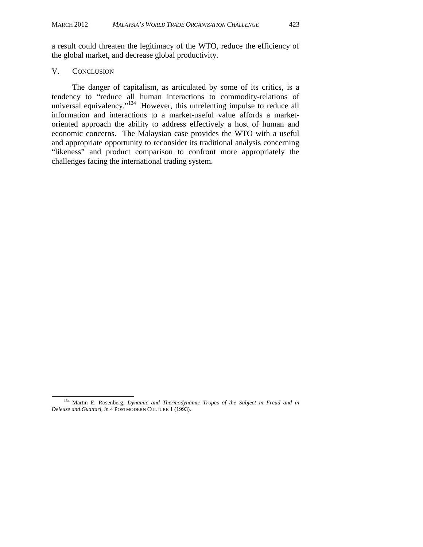a result could threaten the legitimacy of the WTO, reduce the efficiency of the global market, and decrease global productivity.

#### V. CONCLUSION

 The danger of capitalism, as articulated by some of its critics, is a tendency to "reduce all human interactions to commodity-relations of universal equivalency."<sup>134</sup> However, this unrelenting impulse to reduce all information and interactions to a market-useful value affords a marketoriented approach the ability to address effectively a host of human and economic concerns. The Malaysian case provides the WTO with a useful and appropriate opportunity to reconsider its traditional analysis concerning "likeness" and product comparison to confront more appropriately the challenges facing the international trading system.

 <sup>134</sup>Martin E. Rosenberg, *Dynamic and Thermodynamic Tropes of the Subject in Freud and in Deleuze and Guattari*, *in* 4 POSTMODERN CULTURE 1 (1993).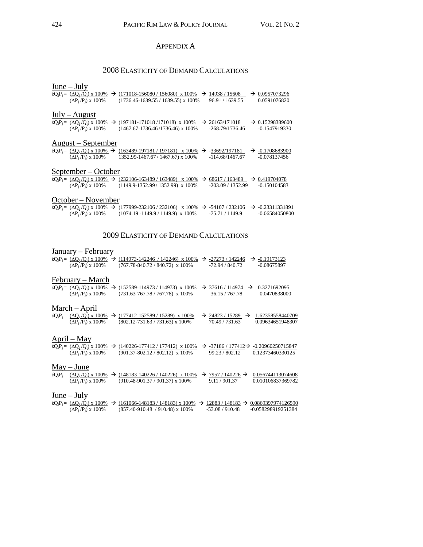## APPENDIX A

## 2008 ELASTICITY OF DEMAND CALCULATIONS

## June – July

| έQ <sub>i</sub> P <sub>i</sub> = (ΔQ <sub>i</sub> /Q <sub>i</sub> ) x 100%<br>$(\Delta P_i/P_i)$ x 100%             | $\rightarrow$ (171018-156080 / 156080) x 100%<br>$(1736.46 - 1639.55 / 1639.55)$ x 100%                                                         | $\rightarrow$ | 14938 / 15608<br>96.91 / 1639.55    |               | $\rightarrow 0.0957073296$<br>0.0591076820     |
|---------------------------------------------------------------------------------------------------------------------|-------------------------------------------------------------------------------------------------------------------------------------------------|---------------|-------------------------------------|---------------|------------------------------------------------|
| $July - August$<br>$\acute{\epsilon}Q_iP_i = (\Delta Q_i/Q_i) \times 100\%$<br>$(\Delta P_i/P_i)$ x 100%            | $\rightarrow$ (197181-171018/171018) x 100% $\rightarrow$<br>$(1467.67 - 1736.46 / 1736.46)$ x 100%                                             |               | 26163/171018<br>$-268.79/1736.46$   |               | $\rightarrow 0.15298389600$<br>$-0.1547919330$ |
| <u> August – September</u><br>$\acute{\epsilon}Q_iP_i = (\Delta Q_i/Q_i) \times 100\%$<br>$(\Delta P_i/P_i)$ x 100% | $(163489-197181/197181) \times 100\%$<br>1352.99-1467.67/1467.67) x 100%                                                                        | $\rightarrow$ | -33692/197181<br>$-114.68/1467.67$  | $\rightarrow$ | -0.1708683900<br>-0.078137456                  |
| September – October<br>$(\Delta P_i/P_i)$ x 100%                                                                    | $\&Q_iP_i = (\Delta Q_i/Q_i) \times 100\% \rightarrow (232106-163489/163489) \times 100\% \rightarrow$<br>$(1149.9 - 1352.99 / 1352.99)$ x 100% |               | 68617 / 163489<br>$-203.09/1352.99$ |               | $\rightarrow 0.419704078$<br>$-0.150104583$    |
| October – November                                                                                                  |                                                                                                                                                 |               |                                     |               |                                                |

|                                 | $\&c_1P_1 = (\Delta Q_1/Q_1) \times 100\% \rightarrow (177999-232106/232106) \times 100\% \rightarrow -54107/232106 \rightarrow -0.23311331891$ |                 |                |
|---------------------------------|-------------------------------------------------------------------------------------------------------------------------------------------------|-----------------|----------------|
| $(\Delta P_i/P_i) \times 100\%$ | $(1074.19 - 1149.9 / 1149.9)$ x 100%                                                                                                            | -75.71 / 1149.9 | -0.06584050800 |

#### 2009 ELASTICITY OF DEMAND CALCULATIONS

## January – February

|               | $(\Delta P_i/P_i)$ x 100%                                                                                                     |               | $\&Q_iP_i = (\Delta Q_i/Q_i) \times 100\% \rightarrow (114973 - 142246 / 142246) \times 100\% \rightarrow -27273 / 142246$<br>$(767.78 - 840.72 / 840.72)$ x 100% |               | $-72.94 / 840.72$                                              | $\rightarrow$ -0.19173123<br>$-0.08675897$ |
|---------------|-------------------------------------------------------------------------------------------------------------------------------|---------------|-------------------------------------------------------------------------------------------------------------------------------------------------------------------|---------------|----------------------------------------------------------------|--------------------------------------------|
|               | February – March<br>$\acute{\epsilon}Q_iP_i = (\Delta Q_i/Q_i) \times 100\%$ $\rightarrow$<br>$(\Delta P_i/P_i) \times 100\%$ |               | $(152589 - 114973 / 114973)$ x 100%<br>$(731.63 - 767.78 / 767.78)$ x 100%                                                                                        |               | $\rightarrow$ 37616/114974 $\rightarrow$<br>$-36.15/767.78$    | 0.3271692095<br>-0.0470838000              |
|               | <u> March – April</u><br>$\acute{\epsilon}Q_iP_j = (\Delta Q_i/Q_i) \times 100\%$<br>$(\Delta P_i/P_i)$ x 100%                |               | $\rightarrow$ (177412-152589 / 15289) x 100%<br>$(802.12 - 731.63 / 731.63)$ x 100%                                                                               |               | $\rightarrow$ 24823 / 15289<br>$\rightarrow$<br>70.49 / 731.63 | 1.62358558440709<br>0.09634651948307       |
|               | <u> April – May</u><br>$\acute{\epsilon}Q_iP_i = (\Delta Q_i/Q_i) \times 100\%$<br>$(\Delta P_i/P_i)$ x 100%                  | $\rightarrow$ | $(140226 - 177412 / 177412)$ x 100%<br>$(901.37 - 802.12 / 802.12)$ x 100%                                                                                        |               | $\rightarrow$ -37186 / 177412 $\rightarrow$<br>99.23 / 802.12  | -0.20960250715847<br>0.12373460330125      |
|               | $May - June$<br>$\acute{\epsilon}Q_iP_i = (\Delta Q_i/Q_i) \times 100\%$<br>$(\Delta P_i/P_i)$ x 100%                         |               | $(148183 - 140226 / 140226)$ x 100%<br>$(910.48-901.37/901.37)$ x 100%                                                                                            | $\rightarrow$ | $7957/140226 \rightarrow$<br>9.11/901.37                       | 0.056744113074608<br>0.010106837369782     |
| $June - July$ | $\acute{\epsilon}Q_iP_i = (\Delta Q_i/Q_i) \times 100\%$<br>$(\Delta P_i/P_i)$ x 100%                                         | $\rightarrow$ | $(161066 - 148183 / 148183)$ x 100%<br>$(857.40-910.48) / 910.48)$ x 100%                                                                                         |               | $\rightarrow$ 12883/148183 $\rightarrow$<br>$-53.08/910.48$    | 0.0869397974126590<br>-0.058298919251384   |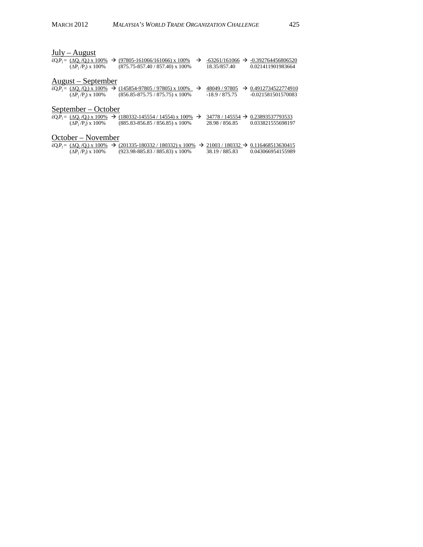| July – August                                                                                |               |                             |                                  |  |  |  |  |  |  |  |  |
|----------------------------------------------------------------------------------------------|---------------|-----------------------------|----------------------------------|--|--|--|--|--|--|--|--|
| $\&Q_iP_i = (\Delta Q_i/Q_i) \times 100\% \rightarrow (97805 - 161066/161066) \times 100\%$  | $\rightarrow$ | $-63261/161066 \rightarrow$ | -0.392764456806520               |  |  |  |  |  |  |  |  |
| $(\Delta P_i/P_i)$ x 100%<br>$(875.75 - 857.40 / 857.40)$ x 100%                             |               | 18.35/857.40                | 0.021411901983664                |  |  |  |  |  |  |  |  |
| <u> August – September</u>                                                                   |               |                             |                                  |  |  |  |  |  |  |  |  |
| $\&eQ_iP_j = (\Delta Q_i/Q_i) \times 100\%$ → (145854-97805 / 97805) x 100% →                |               | 48049 / 97805               | $\rightarrow 0.4912734522774910$ |  |  |  |  |  |  |  |  |
| $(\Delta P_i / P_i) \times 100\%$<br>$(856.85 - 875.75 / 875.75)$ x 100%                     |               | $-18.9/875.75$              | -0.021581501570083               |  |  |  |  |  |  |  |  |
| <u>September – October</u>                                                                   |               |                             |                                  |  |  |  |  |  |  |  |  |
| $\&Q_iP_i = (\Delta Q_i/Q_i) \times 100\%$ → (180332-145554 / 14554) x 100% →                |               | $34778/145554 \rightarrow$  | 0.23893537793533                 |  |  |  |  |  |  |  |  |
| $(\Delta P_i / P_i) \times 100\%$<br>$(885.83 - 856.85 / 856.85)$ x 100%                     |               | 28.98 / 856.85              | 0.033821555698197                |  |  |  |  |  |  |  |  |
| October – November                                                                           |               |                             |                                  |  |  |  |  |  |  |  |  |
| $\&eQ_1P_1 = (\Delta Q_1/Q_1) \times 100\%$ → (201335-180332/180332) x 100% → 21003/180332 → |               |                             | 0.116468513630415                |  |  |  |  |  |  |  |  |
| $(\Delta P_i/P_i)$ x 100%<br>$(923.98 - 885.83 / 885.83)$ x 100%                             |               | 38.19 / 885.83              | 0.043066954155989                |  |  |  |  |  |  |  |  |